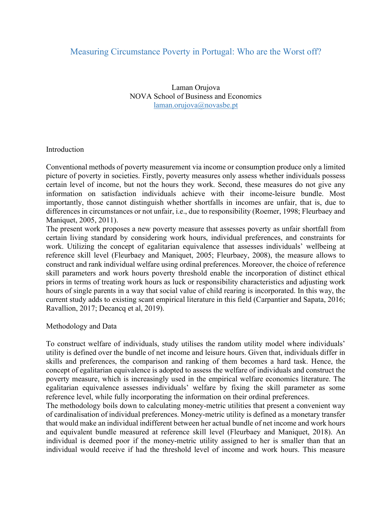## Measuring Circumstance Poverty in Portugal: Who are the Worst off?

Laman Orujova NOVA School of Business and Economics laman.orujova@novasbe.pt

## Introduction

Conventional methods of poverty measurement via income or consumption produce only a limited picture of poverty in societies. Firstly, poverty measures only assess whether individuals possess certain level of income, but not the hours they work. Second, these measures do not give any information on satisfaction individuals achieve with their income-leisure bundle. Most importantly, those cannot distinguish whether shortfalls in incomes are unfair, that is, due to differences in circumstances or not unfair, i.e., due to responsibility (Roemer, 1998; Fleurbaey and Maniquet, 2005, 2011).

The present work proposes a new poverty measure that assesses poverty as unfair shortfall from certain living standard by considering work hours, individual preferences, and constraints for work. Utilizing the concept of egalitarian equivalence that assesses individuals' wellbeing at reference skill level (Fleurbaey and Maniquet, 2005; Fleurbaey, 2008), the measure allows to construct and rank individual welfare using ordinal preferences. Moreover, the choice of reference skill parameters and work hours poverty threshold enable the incorporation of distinct ethical priors in terms of treating work hours as luck or responsibility characteristics and adjusting work hours of single parents in a way that social value of child rearing is incorporated. In this way, the current study adds to existing scant empirical literature in this field (Carpantier and Sapata, 2016; Ravallion, 2017; Decancq et al, 2019).

Methodology and Data

To construct welfare of individuals, study utilises the random utility model where individuals' utility is defined over the bundle of net income and leisure hours. Given that, individuals differ in skills and preferences, the comparison and ranking of them becomes a hard task. Hence, the concept of egalitarian equivalence is adopted to assess the welfare of individuals and construct the poverty measure, which is increasingly used in the empirical welfare economics literature. The egalitarian equivalence assesses individuals' welfare by fixing the skill parameter as some reference level, while fully incorporating the information on their ordinal preferences.

The methodology boils down to calculating money-metric utilities that present a convenient way of cardinalisation of individual preferences. Money-metric utility is defined as a monetary transfer that would make an individual indifferent between her actual bundle of net income and work hours and equivalent bundle measured at reference skill level (Fleurbaey and Maniquet, 2018). An individual is deemed poor if the money-metric utility assigned to her is smaller than that an individual would receive if had the threshold level of income and work hours. This measure